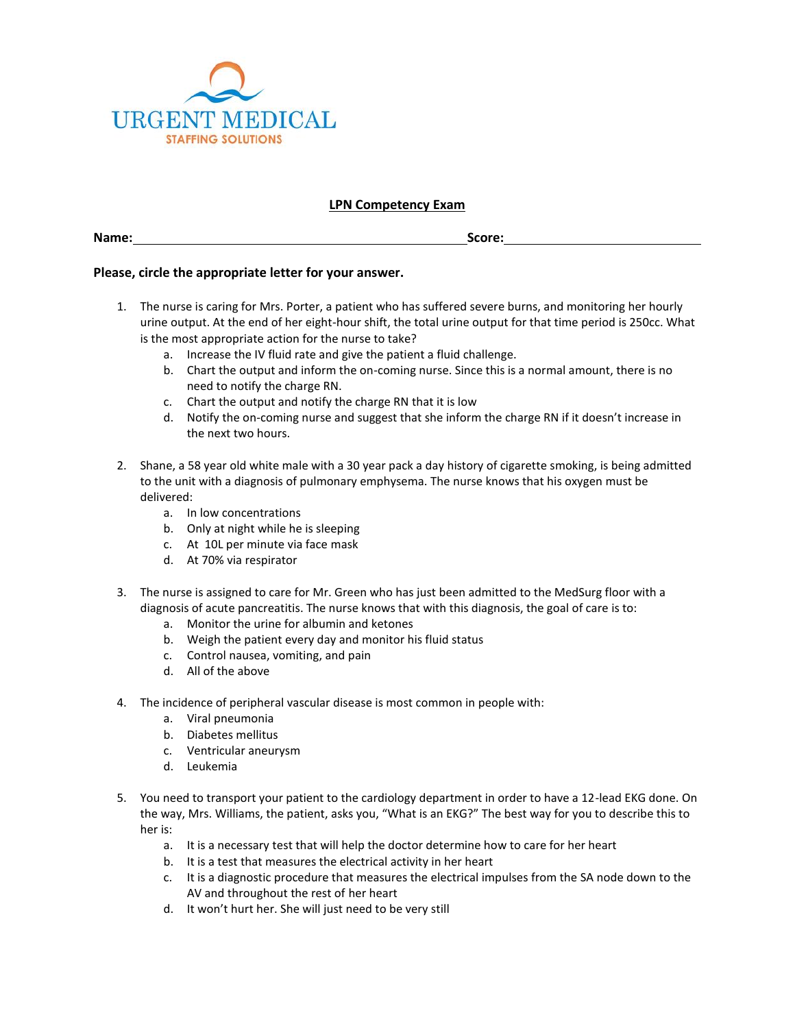

## **LPN Competency Exam**

**Name: Score:**

## **Please, circle the appropriate letter for your answer.**

- 1. The nurse is caring for Mrs. Porter, a patient who has suffered severe burns, and monitoring her hourly urine output. At the end of her eight-hour shift, the total urine output for that time period is 250cc. What is the most appropriate action for the nurse to take?
	- a. Increase the IV fluid rate and give the patient a fluid challenge.
	- b. Chart the output and inform the on-coming nurse. Since this is a normal amount, there is no need to notify the charge RN.
	- c. Chart the output and notify the charge RN that it is low
	- d. Notify the on-coming nurse and suggest that she inform the charge RN if it doesn't increase in the next two hours.
- 2. Shane, a 58 year old white male with a 30 year pack a day history of cigarette smoking, is being admitted to the unit with a diagnosis of pulmonary emphysema. The nurse knows that his oxygen must be delivered:
	- a. In low concentrations
	- b. Only at night while he is sleeping
	- c. At 10L per minute via face mask
	- d. At 70% via respirator
- 3. The nurse is assigned to care for Mr. Green who has just been admitted to the MedSurg floor with a diagnosis of acute pancreatitis. The nurse knows that with this diagnosis, the goal of care is to:
	- a. Monitor the urine for albumin and ketones
	- b. Weigh the patient every day and monitor his fluid status
	- c. Control nausea, vomiting, and pain
	- d. All of the above
- 4. The incidence of peripheral vascular disease is most common in people with:
	- a. Viral pneumonia
	- b. Diabetes mellitus
	- c. Ventricular aneurysm
	- d. Leukemia
- 5. You need to transport your patient to the cardiology department in order to have a 12-lead EKG done. On the way, Mrs. Williams, the patient, asks you, "What is an EKG?" The best way for you to describe this to her is:
	- a. It is a necessary test that will help the doctor determine how to care for her heart
	- b. It is a test that measures the electrical activity in her heart
	- c. It is a diagnostic procedure that measures the electrical impulses from the SA node down to the AV and throughout the rest of her heart
	- d. It won't hurt her. She will just need to be very still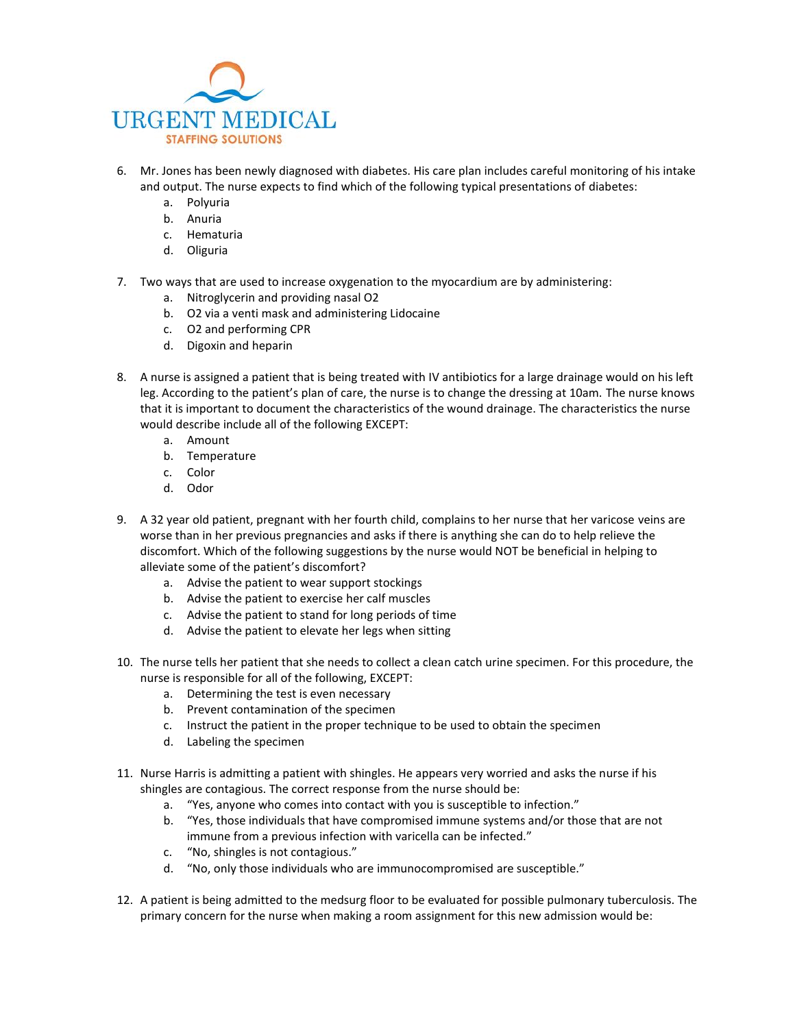

- 6. Mr. Jones has been newly diagnosed with diabetes. His care plan includes careful monitoring of his intake and output. The nurse expects to find which of the following typical presentations of diabetes:
	- a. Polyuria
	- b. Anuria
	- c. Hematuria
	- d. Oliguria
- 7. Two ways that are used to increase oxygenation to the myocardium are by administering:
	- a. Nitroglycerin and providing nasal O2
	- b. O2 via a venti mask and administering Lidocaine
	- c. O2 and performing CPR
	- d. Digoxin and heparin
- 8. A nurse is assigned a patient that is being treated with IV antibiotics for a large drainage would on his left leg. According to the patient's plan of care, the nurse is to change the dressing at 10am. The nurse knows that it is important to document the characteristics of the wound drainage. The characteristics the nurse would describe include all of the following EXCEPT:
	- a. Amount
	- b. Temperature
	- c. Color
	- d. Odor
- 9. A 32 year old patient, pregnant with her fourth child, complains to her nurse that her varicose veins are worse than in her previous pregnancies and asks if there is anything she can do to help relieve the discomfort. Which of the following suggestions by the nurse would NOT be beneficial in helping to alleviate some of the patient's discomfort?
	- a. Advise the patient to wear support stockings
	- b. Advise the patient to exercise her calf muscles
	- c. Advise the patient to stand for long periods of time
	- d. Advise the patient to elevate her legs when sitting
- 10. The nurse tells her patient that she needs to collect a clean catch urine specimen. For this procedure, the nurse is responsible for all of the following, EXCEPT:
	- a. Determining the test is even necessary
	- b. Prevent contamination of the specimen
	- c. Instruct the patient in the proper technique to be used to obtain the specimen
	- d. Labeling the specimen
- 11. Nurse Harris is admitting a patient with shingles. He appears very worried and asks the nurse if his shingles are contagious. The correct response from the nurse should be:
	- a. "Yes, anyone who comes into contact with you is susceptible to infection."
	- b. "Yes, those individuals that have compromised immune systems and/or those that are not immune from a previous infection with varicella can be infected."
	- c. "No, shingles is not contagious."
	- d. "No, only those individuals who are immunocompromised are susceptible."
- 12. A patient is being admitted to the medsurg floor to be evaluated for possible pulmonary tuberculosis. The primary concern for the nurse when making a room assignment for this new admission would be: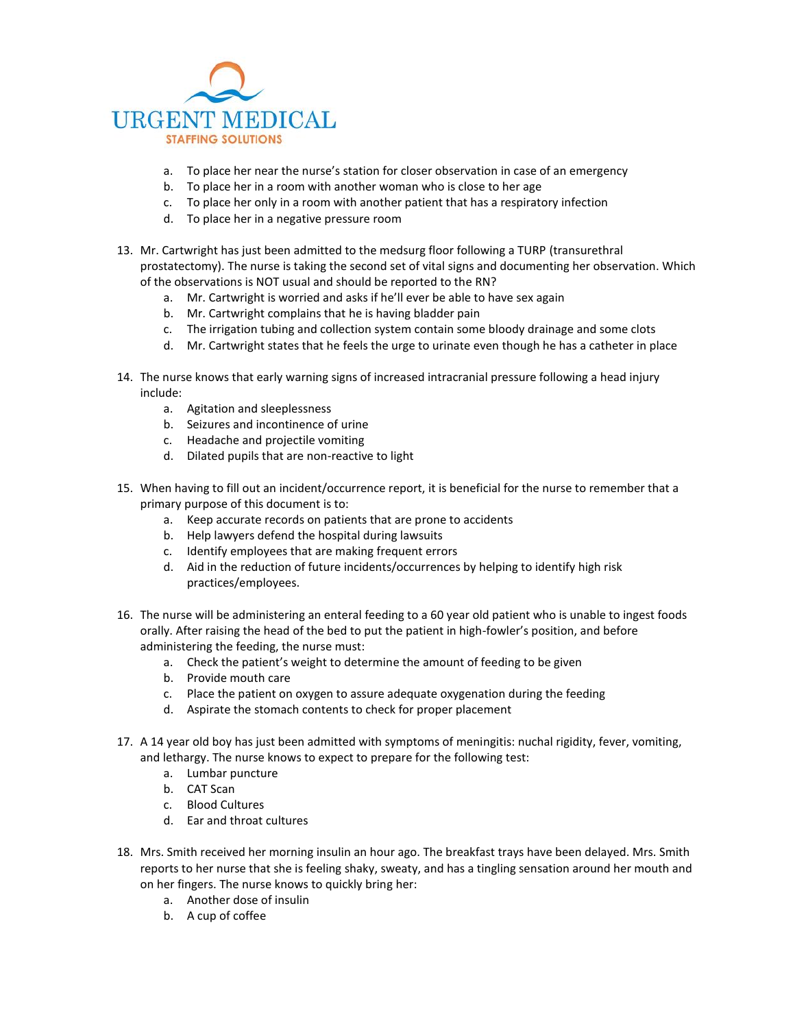

- a. To place her near the nurse's station for closer observation in case of an emergency
- b. To place her in a room with another woman who is close to her age
- c. To place her only in a room with another patient that has a respiratory infection
- d. To place her in a negative pressure room
- 13. Mr. Cartwright has just been admitted to the medsurg floor following a TURP (transurethral prostatectomy). The nurse is taking the second set of vital signs and documenting her observation. Which of the observations is NOT usual and should be reported to the RN?
	- a. Mr. Cartwright is worried and asks if he'll ever be able to have sex again
	- b. Mr. Cartwright complains that he is having bladder pain
	- c. The irrigation tubing and collection system contain some bloody drainage and some clots
	- d. Mr. Cartwright states that he feels the urge to urinate even though he has a catheter in place
- 14. The nurse knows that early warning signs of increased intracranial pressure following a head injury include:
	- a. Agitation and sleeplessness
	- b. Seizures and incontinence of urine
	- c. Headache and projectile vomiting
	- d. Dilated pupils that are non-reactive to light
- 15. When having to fill out an incident/occurrence report, it is beneficial for the nurse to remember that a primary purpose of this document is to:
	- a. Keep accurate records on patients that are prone to accidents
	- b. Help lawyers defend the hospital during lawsuits
	- c. Identify employees that are making frequent errors
	- d. Aid in the reduction of future incidents/occurrences by helping to identify high risk practices/employees.
- 16. The nurse will be administering an enteral feeding to a 60 year old patient who is unable to ingest foods orally. After raising the head of the bed to put the patient in high-fowler's position, and before administering the feeding, the nurse must:
	- a. Check the patient's weight to determine the amount of feeding to be given
	- b. Provide mouth care
	- c. Place the patient on oxygen to assure adequate oxygenation during the feeding
	- d. Aspirate the stomach contents to check for proper placement
- 17. A 14 year old boy has just been admitted with symptoms of meningitis: nuchal rigidity, fever, vomiting, and lethargy. The nurse knows to expect to prepare for the following test:
	- a. Lumbar puncture
	- b. CAT Scan
	- c. Blood Cultures
	- d. Ear and throat cultures
- 18. Mrs. Smith received her morning insulin an hour ago. The breakfast trays have been delayed. Mrs. Smith reports to her nurse that she is feeling shaky, sweaty, and has a tingling sensation around her mouth and on her fingers. The nurse knows to quickly bring her:
	- a. Another dose of insulin
	- b. A cup of coffee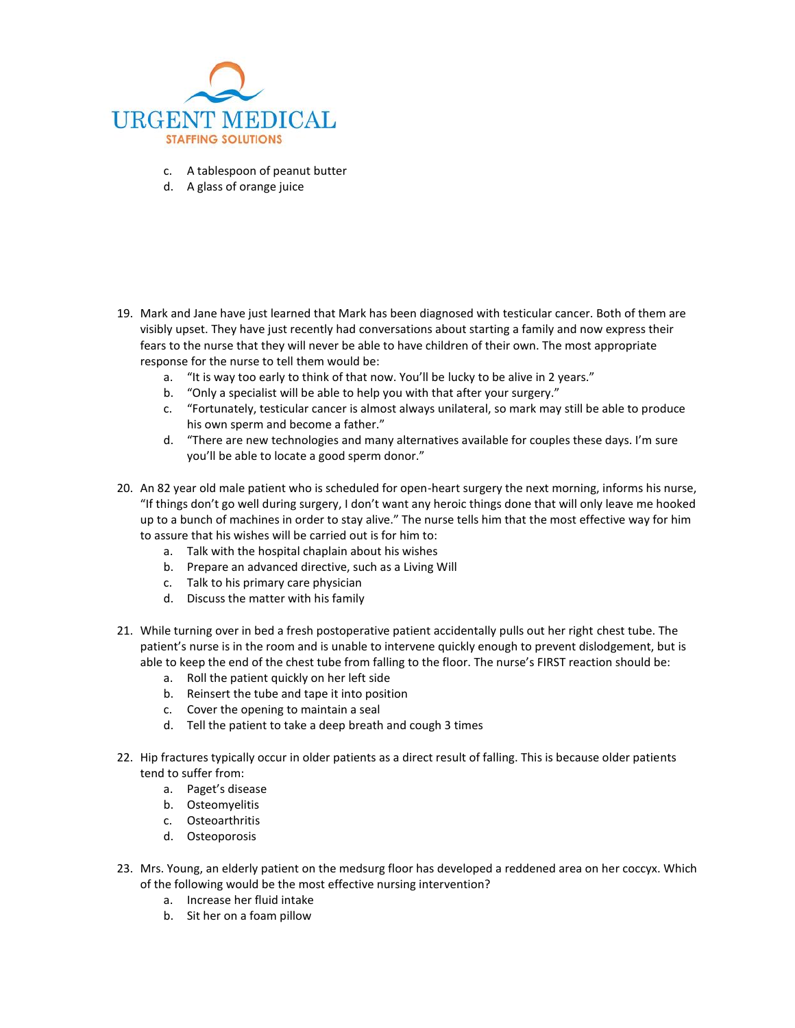

- c. A tablespoon of peanut butter
- d. A glass of orange juice

- 19. Mark and Jane have just learned that Mark has been diagnosed with testicular cancer. Both of them are visibly upset. They have just recently had conversations about starting a family and now express their fears to the nurse that they will never be able to have children of their own. The most appropriate response for the nurse to tell them would be:
	- a. "It is way too early to think of that now. You'll be lucky to be alive in 2 years."
	- b. "Only a specialist will be able to help you with that after your surgery."
	- c. "Fortunately, testicular cancer is almost always unilateral, so mark may still be able to produce his own sperm and become a father."
	- d. "There are new technologies and many alternatives available for couples these days. I'm sure you'll be able to locate a good sperm donor."
- 20. An 82 year old male patient who is scheduled for open-heart surgery the next morning, informs his nurse, "If things don't go well during surgery, I don't want any heroic things done that will only leave me hooked up to a bunch of machines in order to stay alive." The nurse tells him that the most effective way for him to assure that his wishes will be carried out is for him to:
	- a. Talk with the hospital chaplain about his wishes
	- b. Prepare an advanced directive, such as a Living Will
	- c. Talk to his primary care physician
	- d. Discuss the matter with his family
- 21. While turning over in bed a fresh postoperative patient accidentally pulls out her right chest tube. The patient's nurse is in the room and is unable to intervene quickly enough to prevent dislodgement, but is able to keep the end of the chest tube from falling to the floor. The nurse's FIRST reaction should be:
	- a. Roll the patient quickly on her left side
	- b. Reinsert the tube and tape it into position
	- c. Cover the opening to maintain a seal
	- d. Tell the patient to take a deep breath and cough 3 times
- 22. Hip fractures typically occur in older patients as a direct result of falling. This is because older patients tend to suffer from:
	- a. Paget's disease
	- b. Osteomyelitis
	- c. Osteoarthritis
	- d. Osteoporosis
- 23. Mrs. Young, an elderly patient on the medsurg floor has developed a reddened area on her coccyx. Which of the following would be the most effective nursing intervention?
	- a. Increase her fluid intake
	- b. Sit her on a foam pillow